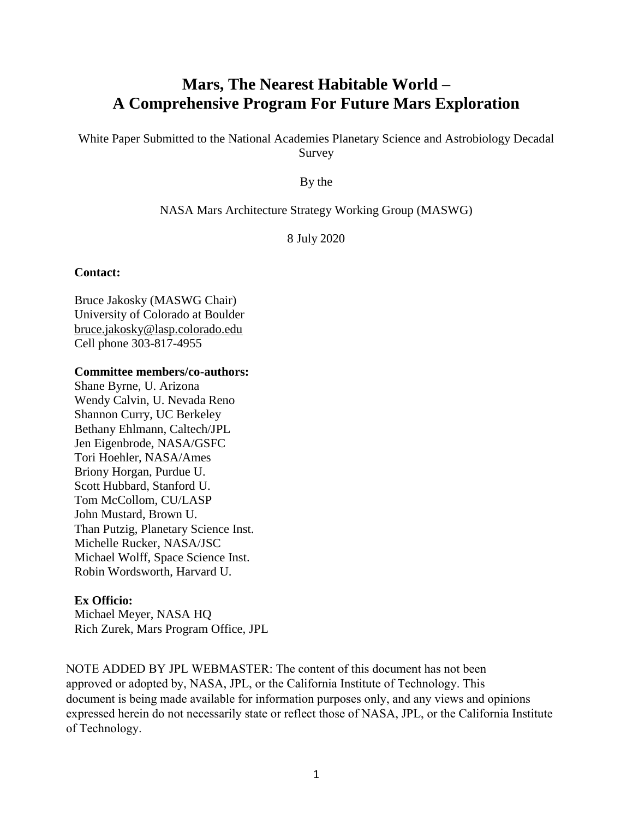# **Mars, The Nearest Habitable World – A Comprehensive Program For Future Mars Exploration**

White Paper Submitted to the National Academies Planetary Science and Astrobiology Decadal Survey

By the

#### NASA Mars Architecture Strategy Working Group (MASWG)

8 July 2020

#### **Contact:**

Bruce Jakosky (MASWG Chair) University of Colorado at Boulder [bruce.jakosky@lasp.colorado.edu](mailto:bruce.jakosky@lasp.colorado.edu) Cell phone 303-817-4955

#### **Committee members/co-authors:**

Shane Byrne, U. Arizona Wendy Calvin, U. Nevada Reno Shannon Curry, UC Berkeley Bethany Ehlmann, Caltech/JPL Jen Eigenbrode, NASA/GSFC Tori Hoehler, NASA/Ames Briony Horgan, Purdue U. Scott Hubbard, Stanford U. Tom McCollom, CU/LASP John Mustard, Brown U. Than Putzig, Planetary Science Inst. Michelle Rucker, NASA/JSC Michael Wolff, Space Science Inst. Robin Wordsworth, Harvard U.

## **Ex Officio:**

Michael Meyer, NASA HQ Rich Zurek, Mars Program Office, JPL

NOTE ADDED BY JPL WEBMASTER: The content of this document has not been approved or adopted by, NASA, JPL, or the California Institute of Technology. This document is being made available for information purposes only, and any views and opinions expressed herein do not necessarily state or reflect those of NASA, JPL, or the California Institute of Technology.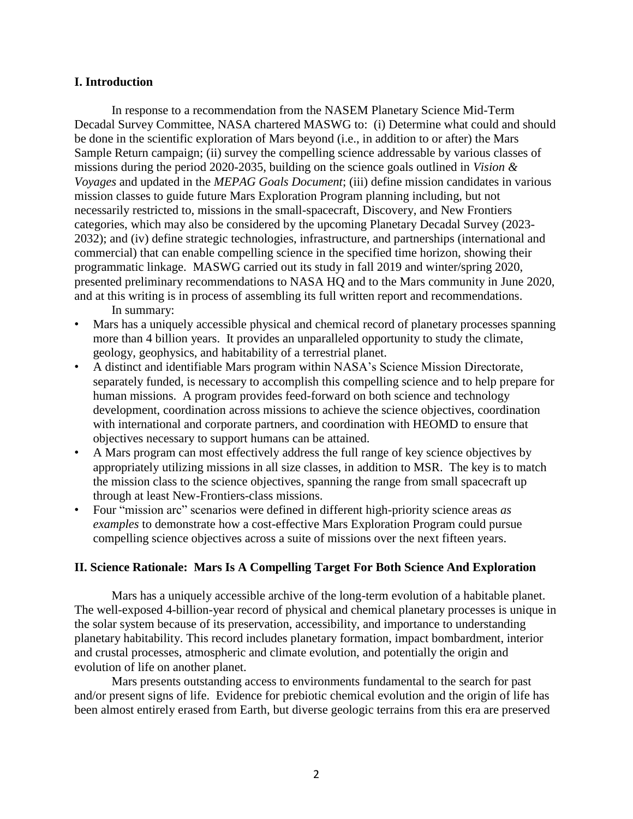#### **I. Introduction**

In response to a recommendation from the NASEM Planetary Science Mid-Term Decadal Survey Committee, NASA chartered MASWG to: (i) Determine what could and should be done in the scientific exploration of Mars beyond (i.e., in addition to or after) the Mars Sample Return campaign; (ii) survey the compelling science addressable by various classes of missions during the period 2020-2035, building on the science goals outlined in *Vision & Voyages* and updated in the *MEPAG Goals Document*; (iii) define mission candidates in various mission classes to guide future Mars Exploration Program planning including, but not necessarily restricted to, missions in the small-spacecraft, Discovery, and New Frontiers categories, which may also be considered by the upcoming Planetary Decadal Survey (2023- 2032); and (iv) define strategic technologies, infrastructure, and partnerships (international and commercial) that can enable compelling science in the specified time horizon, showing their programmatic linkage. MASWG carried out its study in fall 2019 and winter/spring 2020, presented preliminary recommendations to NASA HQ and to the Mars community in June 2020, and at this writing is in process of assembling its full written report and recommendations. In summary:

- Mars has a uniquely accessible physical and chemical record of planetary processes spanning more than 4 billion years. It provides an unparalleled opportunity to study the climate, geology, geophysics, and habitability of a terrestrial planet.
- A distinct and identifiable Mars program within NASA's Science Mission Directorate, separately funded, is necessary to accomplish this compelling science and to help prepare for human missions. A program provides feed-forward on both science and technology development, coordination across missions to achieve the science objectives, coordination with international and corporate partners, and coordination with HEOMD to ensure that objectives necessary to support humans can be attained.
- A Mars program can most effectively address the full range of key science objectives by appropriately utilizing missions in all size classes, in addition to MSR. The key is to match the mission class to the science objectives, spanning the range from small spacecraft up through at least New-Frontiers-class missions.
- Four "mission arc" scenarios were defined in different high-priority science areas *as examples* to demonstrate how a cost-effective Mars Exploration Program could pursue compelling science objectives across a suite of missions over the next fifteen years.

## **II. Science Rationale: Mars Is A Compelling Target For Both Science And Exploration**

Mars has a uniquely accessible archive of the long-term evolution of a habitable planet. The well-exposed 4-billion-year record of physical and chemical planetary processes is unique in the solar system because of its preservation, accessibility, and importance to understanding planetary habitability. This record includes planetary formation, impact bombardment, interior and crustal processes, atmospheric and climate evolution, and potentially the origin and evolution of life on another planet.

Mars presents outstanding access to environments fundamental to the search for past and/or present signs of life. Evidence for prebiotic chemical evolution and the origin of life has been almost entirely erased from Earth, but diverse geologic terrains from this era are preserved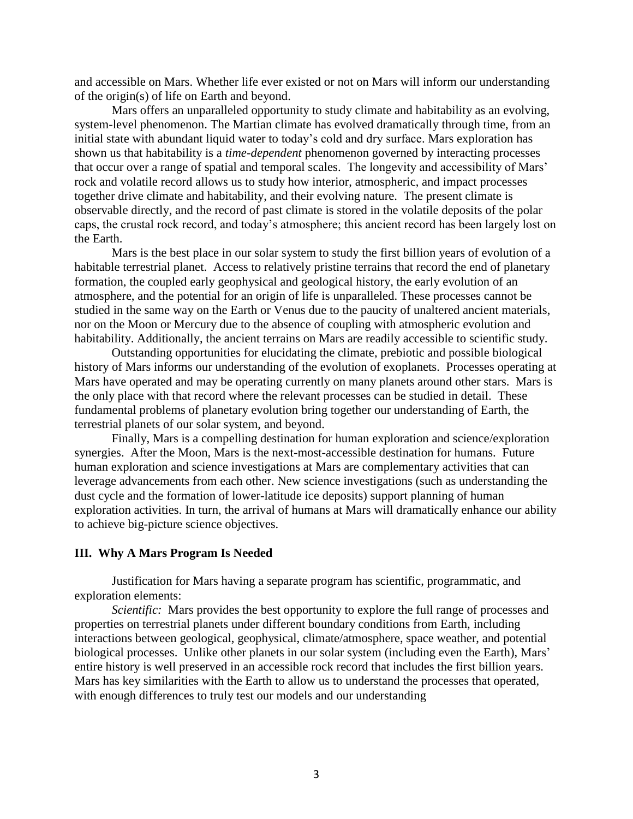and accessible on Mars. Whether life ever existed or not on Mars will inform our understanding of the origin(s) of life on Earth and beyond.

Mars offers an unparalleled opportunity to study climate and habitability as an evolving, system-level phenomenon. The Martian climate has evolved dramatically through time, from an initial state with abundant liquid water to today's cold and dry surface. Mars exploration has shown us that habitability is a *time-dependent* phenomenon governed by interacting processes that occur over a range of spatial and temporal scales. The longevity and accessibility of Mars' rock and volatile record allows us to study how interior, atmospheric, and impact processes together drive climate and habitability, and their evolving nature. The present climate is observable directly, and the record of past climate is stored in the volatile deposits of the polar caps, the crustal rock record, and today's atmosphere; this ancient record has been largely lost on the Earth.

Mars is the best place in our solar system to study the first billion years of evolution of a habitable terrestrial planet. Access to relatively pristine terrains that record the end of planetary formation, the coupled early geophysical and geological history, the early evolution of an atmosphere, and the potential for an origin of life is unparalleled. These processes cannot be studied in the same way on the Earth or Venus due to the paucity of unaltered ancient materials, nor on the Moon or Mercury due to the absence of coupling with atmospheric evolution and habitability. Additionally, the ancient terrains on Mars are readily accessible to scientific study.

Outstanding opportunities for elucidating the climate, prebiotic and possible biological history of Mars informs our understanding of the evolution of exoplanets. Processes operating at Mars have operated and may be operating currently on many planets around other stars. Mars is the only place with that record where the relevant processes can be studied in detail. These fundamental problems of planetary evolution bring together our understanding of Earth, the terrestrial planets of our solar system, and beyond.

Finally, Mars is a compelling destination for human exploration and science/exploration synergies. After the Moon, Mars is the next-most-accessible destination for humans. Future human exploration and science investigations at Mars are complementary activities that can leverage advancements from each other. New science investigations (such as understanding the dust cycle and the formation of lower-latitude ice deposits) support planning of human exploration activities. In turn, the arrival of humans at Mars will dramatically enhance our ability to achieve big-picture science objectives.

#### **III. Why A Mars Program Is Needed**

Justification for Mars having a separate program has scientific, programmatic, and exploration elements:

*Scientific:* Mars provides the best opportunity to explore the full range of processes and properties on terrestrial planets under different boundary conditions from Earth, including interactions between geological, geophysical, climate/atmosphere, space weather, and potential biological processes. Unlike other planets in our solar system (including even the Earth), Mars' entire history is well preserved in an accessible rock record that includes the first billion years. Mars has key similarities with the Earth to allow us to understand the processes that operated, with enough differences to truly test our models and our understanding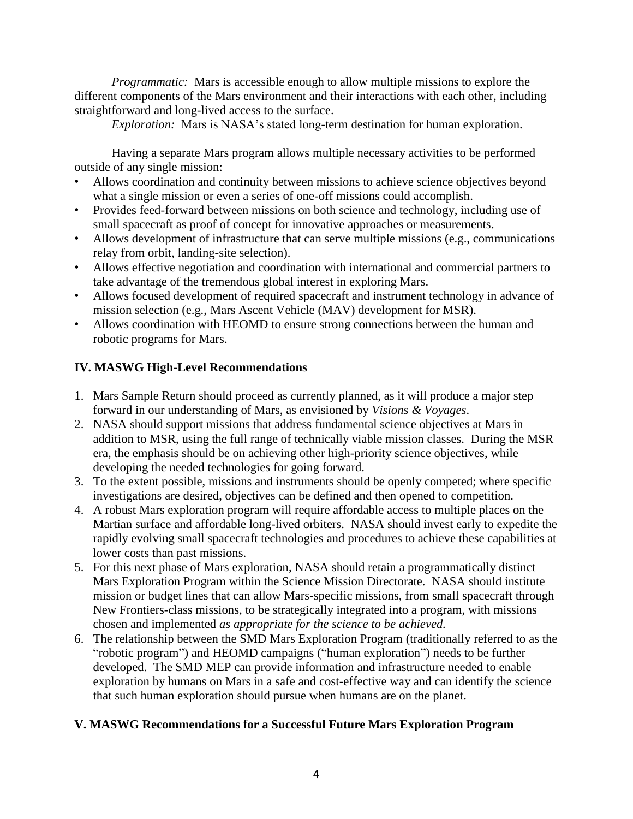*Programmatic:* Mars is accessible enough to allow multiple missions to explore the different components of the Mars environment and their interactions with each other, including straightforward and long-lived access to the surface.

*Exploration:* Mars is NASA's stated long-term destination for human exploration.

Having a separate Mars program allows multiple necessary activities to be performed outside of any single mission:

- Allows coordination and continuity between missions to achieve science objectives beyond what a single mission or even a series of one-off missions could accomplish.
- Provides feed-forward between missions on both science and technology, including use of small spacecraft as proof of concept for innovative approaches or measurements.
- Allows development of infrastructure that can serve multiple missions (e.g., communications relay from orbit, landing-site selection).
- Allows effective negotiation and coordination with international and commercial partners to take advantage of the tremendous global interest in exploring Mars.
- Allows focused development of required spacecraft and instrument technology in advance of mission selection (e.g., Mars Ascent Vehicle (MAV) development for MSR).
- Allows coordination with HEOMD to ensure strong connections between the human and robotic programs for Mars.

# **IV. MASWG High-Level Recommendations**

- 1. Mars Sample Return should proceed as currently planned, as it will produce a major step forward in our understanding of Mars, as envisioned by *Visions & Voyages*.
- 2. NASA should support missions that address fundamental science objectives at Mars in addition to MSR, using the full range of technically viable mission classes. During the MSR era, the emphasis should be on achieving other high-priority science objectives, while developing the needed technologies for going forward.
- 3. To the extent possible, missions and instruments should be openly competed; where specific investigations are desired, objectives can be defined and then opened to competition.
- 4. A robust Mars exploration program will require affordable access to multiple places on the Martian surface and affordable long-lived orbiters. NASA should invest early to expedite the rapidly evolving small spacecraft technologies and procedures to achieve these capabilities at lower costs than past missions.
- 5. For this next phase of Mars exploration, NASA should retain a programmatically distinct Mars Exploration Program within the Science Mission Directorate. NASA should institute mission or budget lines that can allow Mars-specific missions, from small spacecraft through New Frontiers-class missions, to be strategically integrated into a program, with missions chosen and implemented *as appropriate for the science to be achieved.*
- 6. The relationship between the SMD Mars Exploration Program (traditionally referred to as the "robotic program") and HEOMD campaigns ("human exploration") needs to be further developed. The SMD MEP can provide information and infrastructure needed to enable exploration by humans on Mars in a safe and cost-effective way and can identify the science that such human exploration should pursue when humans are on the planet.

# **V. MASWG Recommendations for a Successful Future Mars Exploration Program**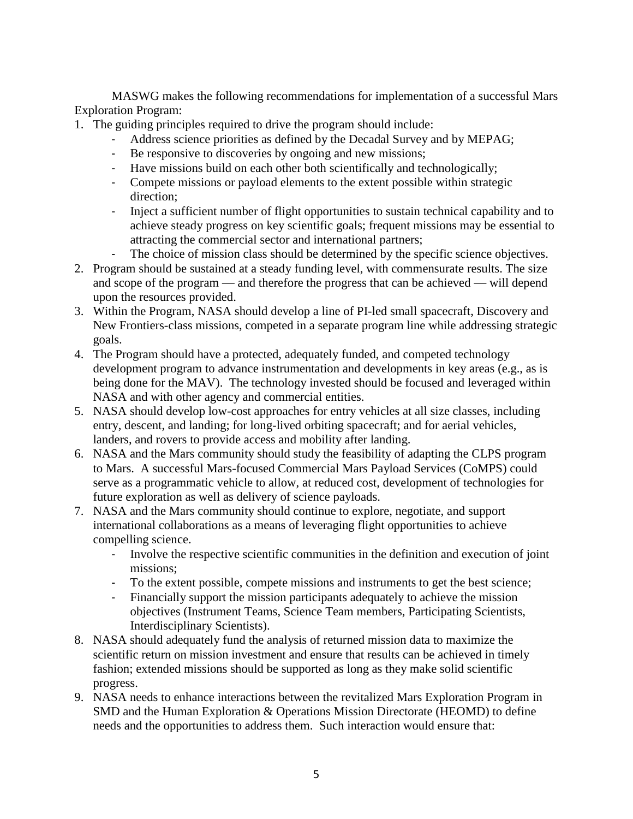MASWG makes the following recommendations for implementation of a successful Mars Exploration Program:

- 1. The guiding principles required to drive the program should include:
	- Address science priorities as defined by the Decadal Survey and by MEPAG;
	- Be responsive to discoveries by ongoing and new missions;
	- Have missions build on each other both scientifically and technologically;
	- Compete missions or payload elements to the extent possible within strategic direction;
	- Inject a sufficient number of flight opportunities to sustain technical capability and to achieve steady progress on key scientific goals; frequent missions may be essential to attracting the commercial sector and international partners;
	- The choice of mission class should be determined by the specific science objectives.
- 2. Program should be sustained at a steady funding level, with commensurate results. The size and scope of the program — and therefore the progress that can be achieved — will depend upon the resources provided.
- 3. Within the Program, NASA should develop a line of PI-led small spacecraft, Discovery and New Frontiers-class missions, competed in a separate program line while addressing strategic goals.
- 4. The Program should have a protected, adequately funded, and competed technology development program to advance instrumentation and developments in key areas (e.g., as is being done for the MAV). The technology invested should be focused and leveraged within NASA and with other agency and commercial entities.
- 5. NASA should develop low-cost approaches for entry vehicles at all size classes, including entry, descent, and landing; for long-lived orbiting spacecraft; and for aerial vehicles, landers, and rovers to provide access and mobility after landing.
- 6. NASA and the Mars community should study the feasibility of adapting the CLPS program to Mars. A successful Mars-focused Commercial Mars Payload Services (CoMPS) could serve as a programmatic vehicle to allow, at reduced cost, development of technologies for future exploration as well as delivery of science payloads.
- 7. NASA and the Mars community should continue to explore, negotiate, and support international collaborations as a means of leveraging flight opportunities to achieve compelling science.
	- Involve the respective scientific communities in the definition and execution of joint missions;
	- To the extent possible, compete missions and instruments to get the best science;
	- Financially support the mission participants adequately to achieve the mission objectives (Instrument Teams, Science Team members, Participating Scientists, Interdisciplinary Scientists).
- 8. NASA should adequately fund the analysis of returned mission data to maximize the scientific return on mission investment and ensure that results can be achieved in timely fashion; extended missions should be supported as long as they make solid scientific progress.
- 9. NASA needs to enhance interactions between the revitalized Mars Exploration Program in SMD and the Human Exploration & Operations Mission Directorate (HEOMD) to define needs and the opportunities to address them. Such interaction would ensure that: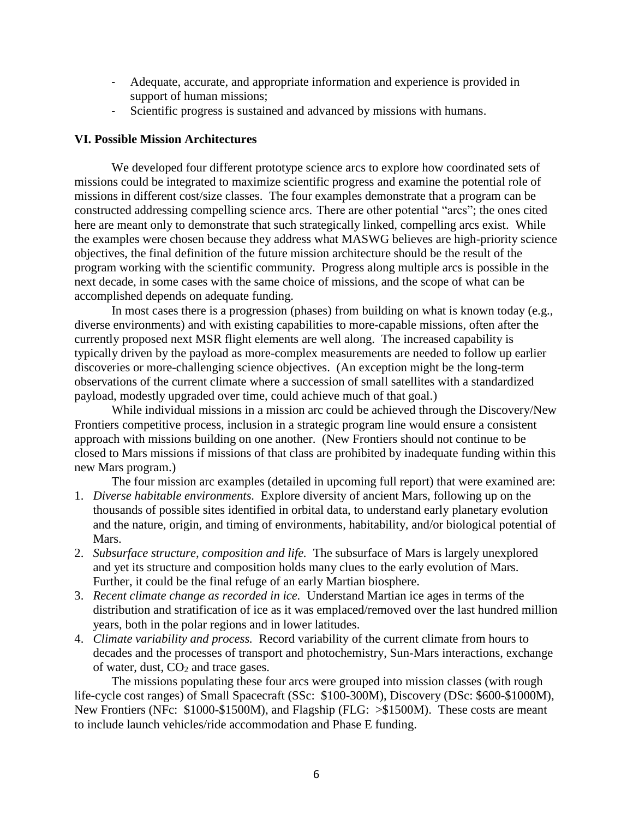- Adequate, accurate, and appropriate information and experience is provided in support of human missions;
- Scientific progress is sustained and advanced by missions with humans.

## **VI. Possible Mission Architectures**

We developed four different prototype science arcs to explore how coordinated sets of missions could be integrated to maximize scientific progress and examine the potential role of missions in different cost/size classes. The four examples demonstrate that a program can be constructed addressing compelling science arcs. There are other potential "arcs"; the ones cited here are meant only to demonstrate that such strategically linked, compelling arcs exist. While the examples were chosen because they address what MASWG believes are high-priority science objectives, the final definition of the future mission architecture should be the result of the program working with the scientific community. Progress along multiple arcs is possible in the next decade, in some cases with the same choice of missions, and the scope of what can be accomplished depends on adequate funding.

In most cases there is a progression (phases) from building on what is known today (e.g., diverse environments) and with existing capabilities to more-capable missions, often after the currently proposed next MSR flight elements are well along. The increased capability is typically driven by the payload as more-complex measurements are needed to follow up earlier discoveries or more-challenging science objectives. (An exception might be the long-term observations of the current climate where a succession of small satellites with a standardized payload, modestly upgraded over time, could achieve much of that goal.)

While individual missions in a mission arc could be achieved through the Discovery/New Frontiers competitive process, inclusion in a strategic program line would ensure a consistent approach with missions building on one another. (New Frontiers should not continue to be closed to Mars missions if missions of that class are prohibited by inadequate funding within this new Mars program.)

The four mission arc examples (detailed in upcoming full report) that were examined are:

- 1. *Diverse habitable environments.* Explore diversity of ancient Mars, following up on the thousands of possible sites identified in orbital data, to understand early planetary evolution and the nature, origin, and timing of environments, habitability, and/or biological potential of Mars.
- 2. *Subsurface structure, composition and life.* The subsurface of Mars is largely unexplored and yet its structure and composition holds many clues to the early evolution of Mars. Further, it could be the final refuge of an early Martian biosphere.
- 3. *Recent climate change as recorded in ice.* Understand Martian ice ages in terms of the distribution and stratification of ice as it was emplaced/removed over the last hundred million years, both in the polar regions and in lower latitudes.
- 4. *Climate variability and process.* Record variability of the current climate from hours to decades and the processes of transport and photochemistry, Sun-Mars interactions, exchange of water, dust,  $CO<sub>2</sub>$  and trace gases.

The missions populating these four arcs were grouped into mission classes (with rough life-cycle cost ranges) of Small Spacecraft (SSc: \$100-300M), Discovery (DSc: \$600-\$1000M), New Frontiers (NFc: \$1000-\$1500M), and Flagship (FLG: >\$1500M). These costs are meant to include launch vehicles/ride accommodation and Phase E funding.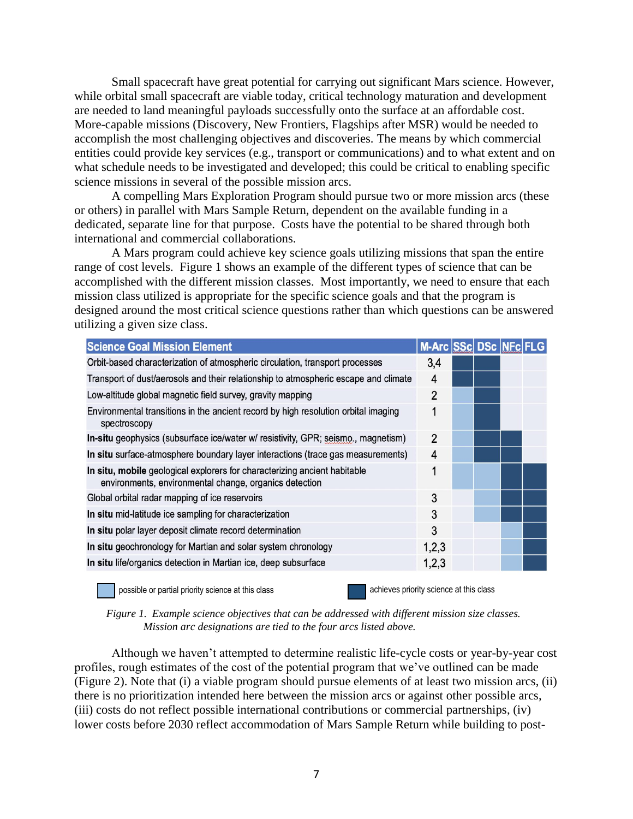Small spacecraft have great potential for carrying out significant Mars science. However, while orbital small spacecraft are viable today, critical technology maturation and development are needed to land meaningful payloads successfully onto the surface at an affordable cost. More-capable missions (Discovery, New Frontiers, Flagships after MSR) would be needed to accomplish the most challenging objectives and discoveries. The means by which commercial entities could provide key services (e.g., transport or communications) and to what extent and on what schedule needs to be investigated and developed; this could be critical to enabling specific science missions in several of the possible mission arcs.

A compelling Mars Exploration Program should pursue two or more mission arcs (these or others) in parallel with Mars Sample Return, dependent on the available funding in a dedicated, separate line for that purpose. Costs have the potential to be shared through both international and commercial collaborations.

A Mars program could achieve key science goals utilizing missions that span the entire range of cost levels. Figure 1 shows an example of the different types of science that can be accomplished with the different mission classes. Most importantly, we need to ensure that each mission class utilized is appropriate for the specific science goals and that the program is designed around the most critical science questions rather than which questions can be answered utilizing a given size class.

| <b>Science Goal Mission Element</b>                                                                                                 | M-Arc SSc DSc |  |  |
|-------------------------------------------------------------------------------------------------------------------------------------|---------------|--|--|
| Orbit-based characterization of atmospheric circulation, transport processes                                                        | 3,4           |  |  |
| Transport of dust/aerosols and their relationship to atmospheric escape and climate                                                 | 4             |  |  |
| Low-altitude global magnetic field survey, gravity mapping                                                                          | 2             |  |  |
| Environmental transitions in the ancient record by high resolution orbital imaging<br>spectroscopy                                  | 1             |  |  |
| In-situ geophysics (subsurface ice/water w/ resistivity, GPR; seismo., magnetism)                                                   | $\mathcal{P}$ |  |  |
| In situ surface-atmosphere boundary layer interactions (trace gas measurements)                                                     | 4             |  |  |
| In situ, mobile geological explorers for characterizing ancient habitable<br>environments, environmental change, organics detection | 1             |  |  |
| Global orbital radar mapping of ice reservoirs                                                                                      | 3             |  |  |
| In situ mid-latitude ice sampling for characterization                                                                              | 3             |  |  |
| In situ polar layer deposit climate record determination                                                                            | 3             |  |  |
| In situ geochronology for Martian and solar system chronology                                                                       | 1,2,3         |  |  |
| In situ life/organics detection in Martian ice, deep subsurface                                                                     | 1,2,3         |  |  |
|                                                                                                                                     |               |  |  |

possible or partial priority science at this class achieves priority science at this class

*Figure 1. Example science objectives that can be addressed with different mission size classes. Mission arc designations are tied to the four arcs listed above.*

Although we haven't attempted to determine realistic life-cycle costs or year-by-year cost profiles, rough estimates of the cost of the potential program that we've outlined can be made (Figure 2). Note that (i) a viable program should pursue elements of at least two mission arcs, (ii) there is no prioritization intended here between the mission arcs or against other possible arcs, (iii) costs do not reflect possible international contributions or commercial partnerships, (iv) lower costs before 2030 reflect accommodation of Mars Sample Return while building to post